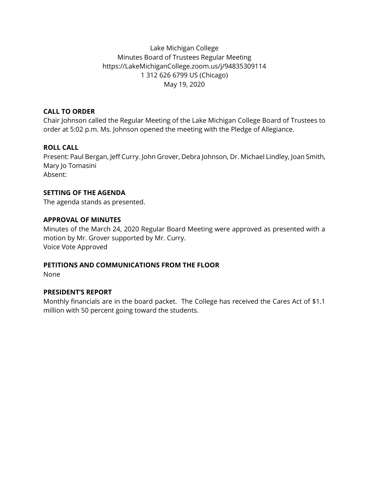# Lake Michigan College Minutes Board of Trustees Regular Meeting https://LakeMichiganCollege.zoom.us/j/94835309114 1 312 626 6799 US (Chicago) May 19, 2020

## **CALL TO ORDER**

Chair Johnson called the Regular Meeting of the Lake Michigan College Board of Trustees to order at 5:02 p.m. Ms. Johnson opened the meeting with the Pledge of Allegiance.

# **ROLL CALL**

Present: Paul Bergan, Jeff Curry. John Grover, Debra Johnson, Dr. Michael Lindley, Joan Smith, Mary Jo Tomasini Absent:

**SETTING OF THE AGENDA** 

The agenda stands as presented.

## **APPROVAL OF MINUTES**

Minutes of the March 24, 2020 Regular Board Meeting were approved as presented with a motion by Mr. Grover supported by Mr. Curry. Voice Vote Approved

### **PETITIONS AND COMMUNICATIONS FROM THE FLOOR**

None

# **PRESIDENT'S REPORT**

Monthly financials are in the board packet. The College has received the Cares Act of \$1.1 million with 50 percent going toward the students.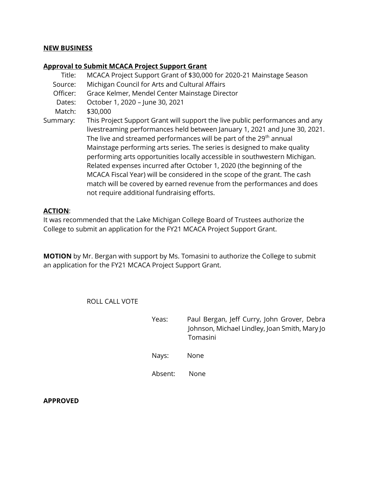#### **NEW BUSINESS**

#### **Approval to Submit MCACA Project Support Grant**

Title: MCACA Project Support Grant of \$30,000 for 2020-21 Mainstage Season

- Source: Michigan Council for Arts and Cultural Affairs
- Officer: Grace Kelmer, Mendel Center Mainstage Director
- Dates: October 1, 2020 June 30, 2021
- Match: \$30,000
- Summary: This Project Support Grant will support the live public performances and any livestreaming performances held between January 1, 2021 and June 30, 2021. The live and streamed performances will be part of the 29<sup>th</sup> annual Mainstage performing arts series. The series is designed to make quality performing arts opportunities locally accessible in southwestern Michigan. Related expenses incurred after October 1, 2020 (the beginning of the MCACA Fiscal Year) will be considered in the scope of the grant. The cash match will be covered by earned revenue from the performances and does not require additional fundraising efforts.

#### **ACTION**:

It was recommended that the Lake Michigan College Board of Trustees authorize the College to submit an application for the FY21 MCACA Project Support Grant.

**MOTION** by Mr. Bergan with support by Ms. Tomasini to authorize the College to submit an application for the FY21 MCACA Project Support Grant.

ROLL CALL VOTE

Yeas: Paul Bergan, Jeff Curry, John Grover, Debra Johnson, Michael Lindley, Joan Smith, Mary Jo Tomasini Nays: None Absent: None

**APPROVED**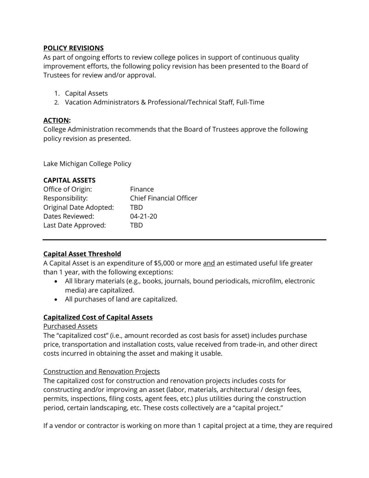## **POLICY REVISIONS**

As part of ongoing efforts to review college polices in support of continuous quality improvement efforts, the following policy revision has been presented to the Board of Trustees for review and/or approval.

- 1. Capital Assets
- 2. Vacation Administrators & Professional/Technical Staff, Full-Time

## **ACTION:**

College Administration recommends that the Board of Trustees approve the following policy revision as presented.

Lake Michigan College Policy

## **CAPITAL ASSETS**

| Office of Origin:      | Finance                        |
|------------------------|--------------------------------|
| Responsibility:        | <b>Chief Financial Officer</b> |
| Original Date Adopted: | TRD                            |
| Dates Reviewed:        | $04 - 21 - 20$                 |
| Last Date Approved:    | TRD                            |

# **Capital Asset Threshold**

A Capital Asset is an expenditure of \$5,000 or more and an estimated useful life greater than 1 year, with the following exceptions:

- All library materials (e.g., books, journals, bound periodicals, microfilm, electronic media) are capitalized.
- All purchases of land are capitalized.

# **Capitalized Cost of Capital Assets**

### Purchased Assets

The "capitalized cost" (i.e., amount recorded as cost basis for asset) includes purchase price, transportation and installation costs, value received from trade-in, and other direct costs incurred in obtaining the asset and making it usable.

### Construction and Renovation Projects

The capitalized cost for construction and renovation projects includes costs for constructing and/or improving an asset (labor, materials, architectural / design fees, permits, inspections, filing costs, agent fees, etc.) plus utilities during the construction period, certain landscaping, etc. These costs collectively are a "capital project."

If a vendor or contractor is working on more than 1 capital project at a time, they are required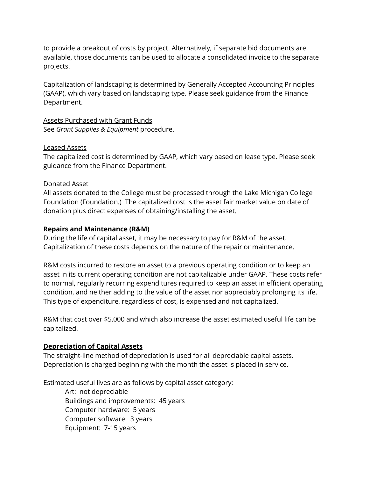to provide a breakout of costs by project. Alternatively, if separate bid documents are available, those documents can be used to allocate a consolidated invoice to the separate projects.

Capitalization of landscaping is determined by Generally Accepted Accounting Principles (GAAP), which vary based on landscaping type. Please seek guidance from the Finance Department.

Assets Purchased with Grant Funds See *Grant Supplies & Equipment* procedure.

### Leased Assets

The capitalized cost is determined by GAAP, which vary based on lease type. Please seek guidance from the Finance Department.

### Donated Asset

All assets donated to the College must be processed through the Lake Michigan College Foundation (Foundation.) The capitalized cost is the asset fair market value on date of donation plus direct expenses of obtaining/installing the asset.

### **Repairs and Maintenance (R&M)**

During the life of capital asset, it may be necessary to pay for R&M of the asset. Capitalization of these costs depends on the nature of the repair or maintenance.

R&M costs incurred to restore an asset to a previous operating condition or to keep an asset in its current operating condition are not capitalizable under GAAP. These costs refer to normal, regularly recurring expenditures required to keep an asset in efficient operating condition, and neither adding to the value of the asset nor appreciably prolonging its life. This type of expenditure, regardless of cost, is expensed and not capitalized.

R&M that cost over \$5,000 and which also increase the asset estimated useful life can be capitalized.

### **Depreciation of Capital Assets**

The straight-line method of depreciation is used for all depreciable capital assets. Depreciation is charged beginning with the month the asset is placed in service.

Estimated useful lives are as follows by capital asset category:

Art: not depreciable Buildings and improvements: 45 years Computer hardware: 5 years Computer software: 3 years Equipment: 7-15 years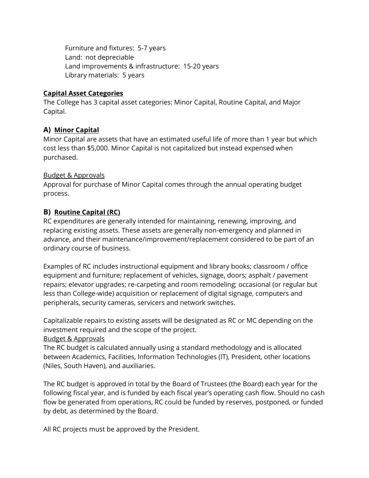Furniture and fixtures: 5-7 years Land: not depreciable Land improvements & infrastructure: 15-20 years Library materials: 5 years

## **Capital Asset Categories**

The College has 3 capital asset categories: Minor Capital, Routine Capital, and Major Capital.

# **A) Minor Capital**

Minor Capital are assets that have an estimated useful life of more than 1 year but which cost less than \$5,000. Minor Capital is not capitalized but instead expensed when purchased.

## Budget & Approvals

Approval for purchase of Minor Capital comes through the annual operating budget process.

# **B) Routine Capital (RC)**

RC expenditures are generally intended for maintaining, renewing, improving, and replacing existing assets. These assets are generally non-emergency and planned in advance, and their maintenance/improvement/replacement considered to be part of an ordinary course of business.

Examples of RC includes instructional equipment and library books; classroom / office equipment and furniture; replacement of vehicles, signage, doors; asphalt / pavement repairs; elevator upgrades; re-carpeting and room remodeling; occasional (or regular but less than College-wide) acquisition or replacement of digital signage, computers and peripherals, security cameras, servicers and network switches.

Capitalizable repairs to existing assets will be designated as RC or MC depending on the investment required and the scope of the project.

### Budget & Approvals

The RC budget is calculated annually using a standard methodology and is allocated between Academics, Facilities, Information Technologies (IT), President, other locations (Niles, South Haven), and auxiliaries.

The RC budget is approved in total by the Board of Trustees (the Board) each year for the following fiscal year, and is funded by each fiscal year's operating cash flow. Should no cash flow be generated from operations, RC could be funded by reserves, postponed, or funded by debt, as determined by the Board.

All RC projects must be approved by the President.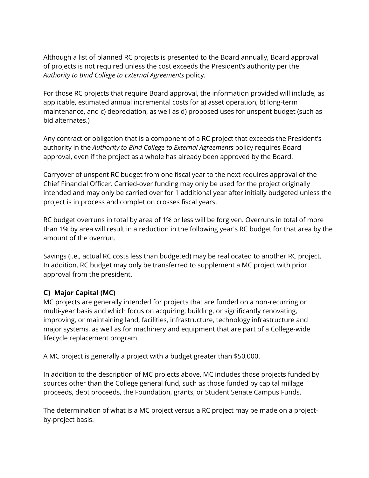Although a list of planned RC projects is presented to the Board annually, Board approval of projects is not required unless the cost exceeds the President's authority per the *Authority to Bind College to External Agreements* policy.

For those RC projects that require Board approval, the information provided will include, as applicable, estimated annual incremental costs for a) asset operation, b) long-term maintenance, and c) depreciation, as well as d) proposed uses for unspent budget (such as bid alternates.)

Any contract or obligation that is a component of a RC project that exceeds the President's authority in the *Authority to Bind College to External Agreements* policy requires Board approval, even if the project as a whole has already been approved by the Board.

Carryover of unspent RC budget from one fiscal year to the next requires approval of the Chief Financial Officer. Carried-over funding may only be used for the project originally intended and may only be carried over for 1 additional year after initially budgeted unless the project is in process and completion crosses fiscal years.

RC budget overruns in total by area of 1% or less will be forgiven. Overruns in total of more than 1% by area will result in a reduction in the following year's RC budget for that area by the amount of the overrun.

Savings (i.e., actual RC costs less than budgeted) may be reallocated to another RC project. In addition, RC budget may only be transferred to supplement a MC project with prior approval from the president.

# **C) Major Capital (MC)**

MC projects are generally intended for projects that are funded on a non-recurring or multi-year basis and which focus on acquiring, building, or significantly renovating, improving, or maintaining land, facilities, infrastructure, technology infrastructure and major systems, as well as for machinery and equipment that are part of a College-wide lifecycle replacement program.

A MC project is generally a project with a budget greater than \$50,000.

In addition to the description of MC projects above, MC includes those projects funded by sources other than the College general fund, such as those funded by capital millage proceeds, debt proceeds, the Foundation, grants, or Student Senate Campus Funds.

The determination of what is a MC project versus a RC project may be made on a projectby-project basis.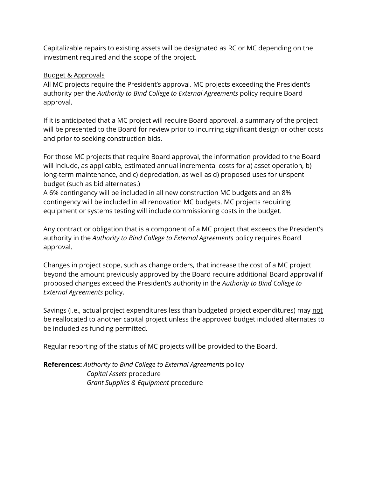Capitalizable repairs to existing assets will be designated as RC or MC depending on the investment required and the scope of the project.

## Budget & Approvals

All MC projects require the President's approval. MC projects exceeding the President's authority per the *Authority to Bind College to External Agreements* policy require Board approval.

If it is anticipated that a MC project will require Board approval, a summary of the project will be presented to the Board for review prior to incurring significant design or other costs and prior to seeking construction bids.

For those MC projects that require Board approval, the information provided to the Board will include, as applicable, estimated annual incremental costs for a) asset operation, b) long-term maintenance, and c) depreciation, as well as d) proposed uses for unspent budget (such as bid alternates.)

A 6% contingency will be included in all new construction MC budgets and an 8% contingency will be included in all renovation MC budgets. MC projects requiring equipment or systems testing will include commissioning costs in the budget.

Any contract or obligation that is a component of a MC project that exceeds the President's authority in the *Authority to Bind College to External Agreements* policy requires Board approval.

Changes in project scope, such as change orders, that increase the cost of a MC project beyond the amount previously approved by the Board require additional Board approval if proposed changes exceed the President's authority in the *Authority to Bind College to External Agreements* policy.

Savings (i.e., actual project expenditures less than budgeted project expenditures) may not be reallocated to another capital project unless the approved budget included alternates to be included as funding permitted*.*

Regular reporting of the status of MC projects will be provided to the Board.

**References:** *Authority to Bind College to External Agreements* policy *Capital Assets* procedure *Grant Supplies & Equipment* procedure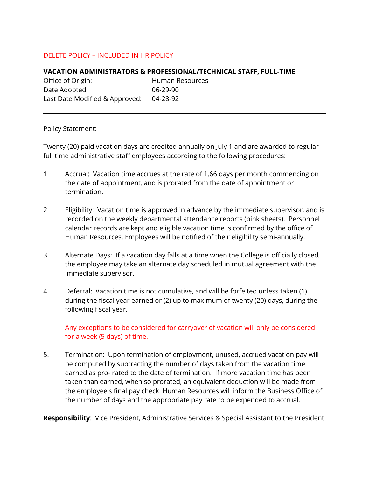## DELETE POLICY – INCLUDED IN HR POLICY

#### **VACATION ADMINISTRATORS & PROFESSIONAL/TECHNICAL STAFF, FULL-TIME**

Office of Origin: Human Resources Date Adopted: 06-29-90 Last Date Modified & Approved: 04-28-92

#### Policy Statement:

Twenty (20) paid vacation days are credited annually on July 1 and are awarded to regular full time administrative staff employees according to the following procedures:

- 1. Accrual: Vacation time accrues at the rate of 1.66 days per month commencing on the date of appointment, and is prorated from the date of appointment or termination.
- 2. Eligibility: Vacation time is approved in advance by the immediate supervisor, and is recorded on the weekly departmental attendance reports (pink sheets). Personnel calendar records are kept and eligible vacation time is confirmed by the office of Human Resources. Employees will be notified of their eligibility semi-annually.
- 3. Alternate Days: If a vacation day falls at a time when the College is officially closed, the employee may take an alternate day scheduled in mutual agreement with the immediate supervisor.
- 4. Deferral: Vacation time is not cumulative, and will be forfeited unless taken (1) during the fiscal year earned or (2) up to maximum of twenty (20) days, during the following fiscal year.

Any exceptions to be considered for carryover of vacation will only be considered for a week (5 days) of time.

5. Termination: Upon termination of employment, unused, accrued vacation pay will be computed by subtracting the number of days taken from the vacation time earned as pro- rated to the date of termination. If more vacation time has been taken than earned, when so prorated, an equivalent deduction will be made from the employee's final pay check. Human Resources will inform the Business Office of the number of days and the appropriate pay rate to be expended to accrual.

**Responsibility**: Vice President, Administrative Services & Special Assistant to the President